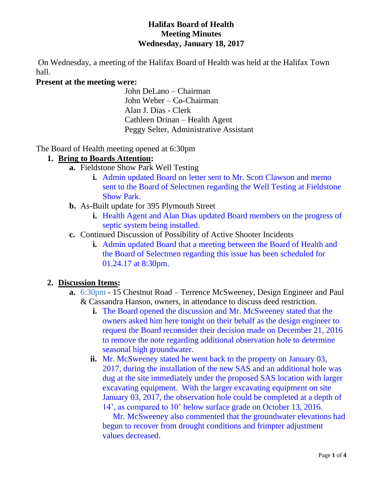#### **Halifax Board of Health Meeting Minutes Wednesday, January 18, 2017**

On Wednesday, a meeting of the Halifax Board of Health was held at the Halifax Town hall.

## **Present at the meeting were:**

John DeLano – Chairman John Weber – Co-Chairman Alan J. Dias - Clerk Cathleen Drinan – Health Agent Peggy Selter, Administrative Assistant

The Board of Health meeting opened at 6:30pm

### **1. Bring to Boards Attention:**

- **a.** Fieldstone Show Park Well Testing
	- **i.** Admin updated Board on letter sent to Mr. Scott Clawson and memo sent to the Board of Selectmen regarding the Well Testing at Fieldstone Show Park.
- **b.** As-Built update for 395 Plymouth Street
	- **i.** Health Agent and Alan Dias updated Board members on the progress of septic system being installed.
- **c.** Continued Discussion of Possibility of Active Shooter Incidents
	- **i.** Admin updated Board that a meeting between the Board of Health and the Board of Selectmen regarding this issue has been scheduled for 01.24.17 at 8:30pm.

# **2. Discussion Items:**

- **a.** 6:30pm 15 Chestnut Road Terrence McSweeney, Design Engineer and Paul & Cassandra Hanson, owners, in attendance to discuss deed restriction.
	- **i.** The Board opened the discussion and Mr. McSweeney stated that the owners asked him here tonight on their behalf as the design engineer to request the Board reconsider their decision made on December 21, 2016 to remove the note regarding additional observation hole to determine seasonal high groundwater.
	- **ii.** Mr. McSweeney stated he went back to the property on January 03, 2017, during the installation of the new SAS and an additional hole was dug at the site immediately under the proposed SAS location with larger excavating equipment. With the larger excavating equipment on site January 03, 2017, the observation hole could be completed at a depth of 14', as compared to 10' below surface grade on October 13, 2016.

 Mr. McSweeney also commented that the groundwater elevations had begun to recover from drought conditions and frimpter adjustment values decreased.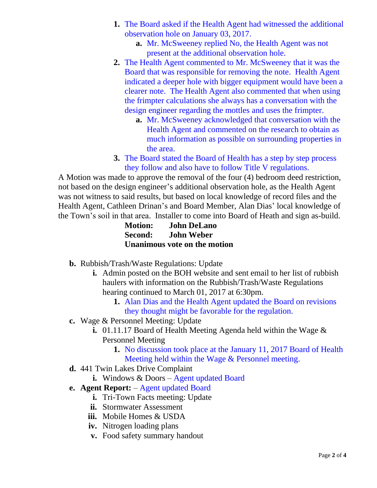- **1.** The Board asked if the Health Agent had witnessed the additional observation hole on January 03, 2017.
	- **a.** Mr. McSweeney replied No, the Health Agent was not present at the additional observation hole.
- **2.** The Health Agent commented to Mr. McSweeney that it was the Board that was responsible for removing the note. Health Agent indicated a deeper hole with bigger equipment would have been a clearer note. The Health Agent also commented that when using the frimpter calculations she always has a conversation with the design engineer regarding the mottles and uses the frimpter.
	- **a.** Mr. McSweeney acknowledged that conversation with the Health Agent and commented on the research to obtain as much information as possible on surrounding properties in the area.
- **3.** The Board stated the Board of Health has a step by step process they follow and also have to follow Title V regulations.

A Motion was made to approve the removal of the four (4) bedroom deed restriction, not based on the design engineer's additional observation hole, as the Health Agent was not witness to said results, but based on local knowledge of record files and the Health Agent, Cathleen Drinan's and Board Member, Alan Dias' local knowledge of the Town's soil in that area. Installer to come into Board of Heath and sign as-build.

| <b>Motion:</b> | <b>John DeLano</b>           |
|----------------|------------------------------|
| Second:        | <b>John Weber</b>            |
|                | Unanimous vote on the motion |

- **b.** Rubbish/Trash/Waste Regulations: Update
	- **i.** Admin posted on the BOH website and sent email to her list of rubbish haulers with information on the Rubbish/Trash/Waste Regulations hearing continued to March 01, 2017 at 6:30pm.
		- **1.** Alan Dias and the Health Agent updated the Board on revisions they thought might be favorable for the regulation.
- **c.** Wage & Personnel Meeting: Update
	- **i.** 01.11.17 Board of Health Meeting Agenda held within the Wage & Personnel Meeting
		- **1.** No discussion took place at the January 11, 2017 Board of Health Meeting held within the Wage & Personnel meeting.
- **d.** 441 Twin Lakes Drive Complaint
	- **i.** Windows & Doors Agent updated Board
- **e. Agent Report:** Agent updated Board
	- **i.** Tri-Town Facts meeting: Update
	- **ii.** Stormwater Assessment
	- **iii.** Mobile Homes & USDA
	- **iv.** Nitrogen loading plans
	- **v.** Food safety summary handout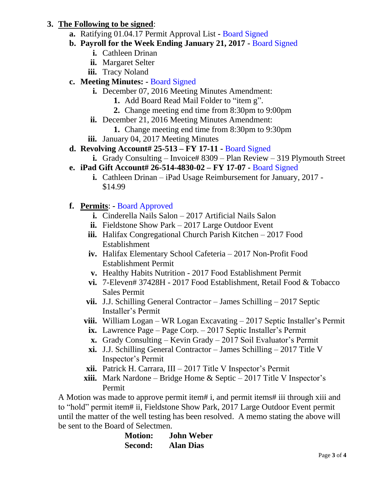# **3. The Following to be signed**:

- **a.** Ratifying 01.04.17 Permit Approval List **-** Board Signed
- **b. Payroll for the Week Ending January 21, 2017 -** Board Signed
	- **i.** Cathleen Drinan
	- **ii.** Margaret Selter
	- **iii.** Tracy Noland
- **c. Meeting Minutes: -** Board Signed
	- **i.** December 07, 2016 Meeting Minutes Amendment:
		- **1.** Add Board Read Mail Folder to "item g".
		- **2.** Change meeting end time from 8:30pm to 9:00pm
	- **ii.** December 21, 2016 Meeting Minutes Amendment:
		- **1.** Change meeting end time from 8:30pm to 9:30pm
	- **iii.** January 04, 2017 Meeting Minutes
- **d. Revolving Account# 25-513 – FY 17-11 -** Board Signed
	- **i.** Grady Consulting Invoice# 8309 Plan Review 319 Plymouth Street
- **e. iPad Gift Account# 26-514-4830-02 – FY 17-07 -** Board Signed
	- **i.** Cathleen Drinan iPad Usage Reimbursement for January, 2017 \$14.99
- **f. Permits**: **-** Board Approved
	- **i.** Cinderella Nails Salon 2017 Artificial Nails Salon
	- **ii.** Fieldstone Show Park 2017 Large Outdoor Event
	- **iii.** Halifax Congregational Church Parish Kitchen 2017 Food Establishment
	- **iv.** Halifax Elementary School Cafeteria 2017 Non-Profit Food Establishment Permit
	- **v.** Healthy Habits Nutrition 2017 Food Establishment Permit
	- **vi.** 7-Eleven# 37428H 2017 Food Establishment, Retail Food & Tobacco Sales Permit
	- **vii.** J.J. Schilling General Contractor James Schilling 2017 Septic Installer's Permit
	- **viii.** William Logan WR Logan Excavating 2017 Septic Installer's Permit
		- **ix.** Lawrence Page Page Corp. 2017 Septic Installer's Permit
		- **x.** Grady Consulting Kevin Grady 2017 Soil Evaluator's Permit
	- **xi.** J.J. Schilling General Contractor James Schilling 2017 Title V Inspector's Permit
	- **xii.** Patrick H. Carrara, III 2017 Title V Inspector's Permit
	- **xiii.** Mark Nardone Bridge Home  $\&$  Septic 2017 Title V Inspector's Permit

A Motion was made to approve permit item# i, and permit items# iii through xiii and to "hold" permit item# ii, Fieldstone Show Park, 2017 Large Outdoor Event permit until the matter of the well testing has been resolved. A memo stating the above will be sent to the Board of Selectmen.

| <b>Motion:</b> | <b>John Weber</b> |
|----------------|-------------------|
| Second:        | <b>Alan Dias</b>  |